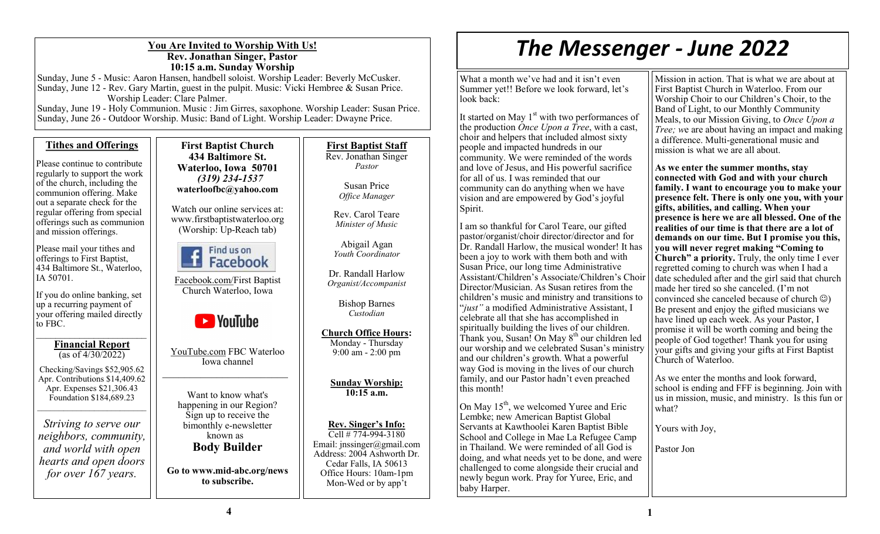## **You Are Invited to Worship With Us! Rev. Jonathan Singer, Pastor 10:15 a.m. Sunday Worship**

Sunday, June 5 - Music: Aaron Hansen, handbell soloist. Worship Leader: Beverly McCusker. Sunday, June 12 - Rev. Gary Martin, guest in the pulpit. Music: Vicki Hembree & Susan Price. Worship Leader: Clare Palmer.

Sunday, June 19 - Holy Communion. Music : Jim Girres, saxophone. Worship Leader: Susan Price. Sunday, June 26 - Outdoor Worship. Music: Band of Light. Worship Leader: Dwayne Price.

# **Tithes and Offerings**

Please continue to contribute regularly to support the work of the church, including the communion offering. Make out a separate check for the regular offering from special offerings such as communion and mission offerings.

Please mail your tithes and offerings to First Baptist, 434 Baltimore St., Waterloo, IA 50701.

If you do online banking, set up a recurring payment of your offering mailed directly to FBC.  $\overline{\phantom{a}}$  , where  $\overline{\phantom{a}}$ 

#### **Financial Report**  (as of 4/30/2022)

Checking/Savings \$52,905.62 Apr. Contributions \$14,409.62 Apr. Expenses \$21,306.43 Foundation \$184,689.23  $\mathcal{L}_\text{max}$  , where  $\mathcal{L}_\text{max}$  and  $\mathcal{L}_\text{max}$ 

*Striving to serve our neighbors, community, and world with open hearts and open doors for over 167 years.*

**First Baptist Church 434 Baltimore St. Waterloo, Iowa 50701**  *(319) 234-1537*  **waterloofbc@yahoo.com**

Watch our online services at: www.firstbaptistwaterloo.org (Worship: Up-Reach tab)



Facebook.com/First Baptist Church Waterloo, Iowa



YouTube.com FBC Waterloo Iowa channel

Want to know what's happening in our Region? Sign up to receive the bimonthly e-newsletter known as **Body Builder**

**Go to www.mid-abc.org/news to subscribe.**

**First Baptist Staff** Rev. Jonathan Singer *Pastor*

> Susan Price *Office Manager*

Rev. Carol Teare *Minister of Music*

Abigail Agan *Youth Coordinator*

Dr. Randall Harlow *Organist/Accompanist*

> Bishop Barnes *Custodian*

**Church Office Hours:**  Monday - Thursday 9:00 am - 2:00 pm

> **Sunday Worship: 10:15 a.m.**

**Rev. Singer's Info:** Cell # 774-994-3180 Email: jnssinger@gmail.com Address: 2004 Ashworth Dr. Cedar Falls, IA 50613 Office Hours: 10am-1pm Mon-Wed or by app't

# *The Messenger - June 2022*

What a month we've had and it isn't even Summer yet!! Before we look forward, let's look back:

It started on May 1<sup>st</sup> with two performances of the production *Once Upon a Tree*, with a cast, choir and helpers that included almost sixty people and impacted hundreds in our community. We were reminded of the words and love of Jesus, and His powerful sacrifice for all of us. I was reminded that our community can do anything when we have vision and are empowered by God's joyful Spirit.

I am so thankful for Carol Teare, our gifted pastor/organist/choir director/director and for Dr. Randall Harlow, the musical wonder! It has been a joy to work with them both and with Susan Price, our long time Administrative Assistant/Children's Associate/Children's Choir Director/Musician. As Susan retires from the children's music and ministry and transitions to "*just"* a modified Administrative Assistant, I celebrate all that she has accomplished in spiritually building the lives of our children. Thank you, Susan! On May  $8<sup>th</sup>$  our children led our worship and we celebrated Susan's ministry and our children's growth. What a powerful way God is moving in the lives of our church family, and our Pastor hadn't even preached this month!

On May  $15<sup>th</sup>$ , we welcomed Yuree and Eric Lembke; new American Baptist Global Servants at Kawthoolei Karen Baptist Bible School and College in Mae La Refugee Camp in Thailand. We were reminded of all God is doing, and what needs yet to be done, and were challenged to come alongside their crucial and newly begun work. Pray for Yuree, Eric, and baby Harper.

Mission in action. That is what we are about at First Baptist Church in Waterloo. From our Worship Choir to our Children's Choir, to the Band of Light, to our Monthly Community Meals, to our Mission Giving, to *Once Upon a Tree; we are about having an impact and making* a difference. Multi-generational music and mission is what we are all about.

**As we enter the summer months, stay connected with God and with your church family. I want to encourage you to make your presence felt. There is only one you, with your gifts, abilities, and calling. When your presence is here we are all blessed. One of the realities of our time is that there are a lot of demands on our time. But I promise you this, you will never regret making "Coming to Church" a priority.** Truly, the only time I ever regretted coming to church was when I had a date scheduled after and the girl said that church made her tired so she canceled. (I'm not convinced she canceled because of church ☺) Be present and enjoy the gifted musicians we have lined up each week. As your Pastor, I promise it will be worth coming and being the people of God together! Thank you for using your gifts and giving your gifts at First Baptist Church of Waterloo.

As we enter the months and look forward, school is ending and FFF is beginning. Join with us in mission, music, and ministry. Is this fun or what?

Yours with Joy,

Pastor Jon